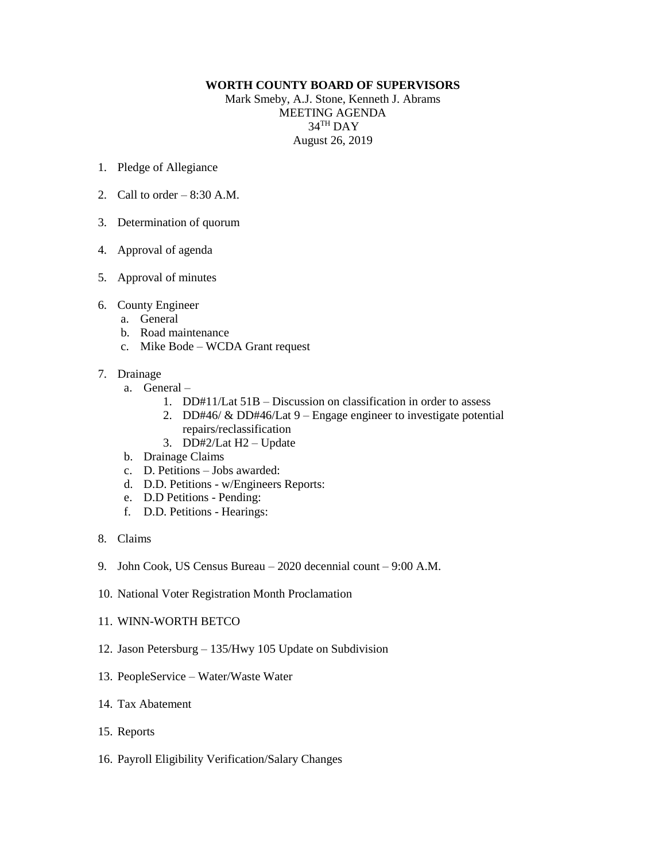## **WORTH COUNTY BOARD OF SUPERVISORS**

Mark Smeby, A.J. Stone, Kenneth J. Abrams MEETING AGENDA  $34^{\text{TH}}$  DAY August 26, 2019

- 1. Pledge of Allegiance
- 2. Call to order  $-8:30$  A.M.
- 3. Determination of quorum
- 4. Approval of agenda
- 5. Approval of minutes
- 6. County Engineer
	- a. General
	- b. Road maintenance
	- c. Mike Bode WCDA Grant request
- 7. Drainage
	- a. General
		- 1. DD#11/Lat 51B Discussion on classification in order to assess
		- 2. DD#46/ & DD#46/Lat 9 Engage engineer to investigate potential repairs/reclassification
		- 3. DD#2/Lat H2 Update
	- b. Drainage Claims
	- c. D. Petitions Jobs awarded:
	- d. D.D. Petitions w/Engineers Reports:
	- e. D.D Petitions Pending:
	- f. D.D. Petitions Hearings:
- 8. Claims
- 9. John Cook, US Census Bureau 2020 decennial count 9:00 A.M.
- 10. National Voter Registration Month Proclamation
- 11. WINN-WORTH BETCO
- 12. Jason Petersburg 135/Hwy 105 Update on Subdivision
- 13. PeopleService Water/Waste Water
- 14. Tax Abatement
- 15. Reports
- 16. Payroll Eligibility Verification/Salary Changes